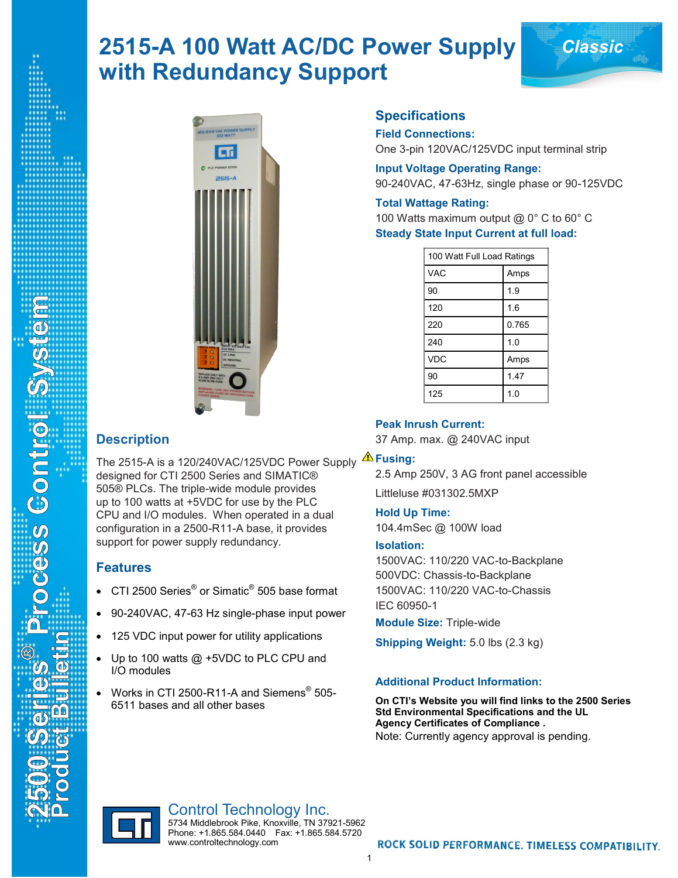# **2515-A 100 Watt AC/DC Power Supply** *Classic* **with Redundancy Support**



# **Description**

metays Control System

The 2515-A is a 120/240VAC/125VDC Power Supply **Fusing:** designed for CTI 2500 Series and SIMATIC® 505® PLCs. The triple-wide module provides up to 100 watts at +5VDC for use by the PLC CPU and I/O modules. When operated in a dual configuration in a 2500-R11-A base, it provides support for power supply redundancy.

## **Features**

- $\bullet~$  CTI 2500 Series $^\circ$  or Simatic $^\circ$  505 base format
- 90-240VAC, 47-63 Hz single-phase input power
- 125 VDC input power for utility applications
- Up to 100 watts @ +5VDC to PLC CPU and I/O modules
- Works in CTI 2500-R11-A and Siemens<sup>®</sup> 505-6511 bases and all other bases

www.controltechnology.com

# **Specifications**

#### **Field Connections:**

One 3-pin 120VAC/125VDC input terminal strip

**Input Voltage Operating Range:** 90-240VAC, 47-63Hz, single phase or 90-125VDC

#### **Total Wattage Rating:**

100 Watts maximum output @ 0° C to 60° C **Steady State Input Current at full load:**

| 100 Watt Full Load Ratings |       |
|----------------------------|-------|
| <b>VAC</b>                 | Amps  |
| 90                         | 1.9   |
| 120                        | 1.6   |
| 220                        | 0.765 |
| 240                        | 1.0   |
| <b>VDC</b>                 | Amps  |
| 90                         | 1.47  |
| 125                        | 1.0   |

#### **Peak Inrush Current:**

37 Amp. max. @ 240VAC input

2.5 Amp 250V, 3 AG front panel accessible Littleluse #031302.5MXP

**Hold Up Time:** 104.4mSec @ 100W load

#### **Isolation:**

1500VAC: 110/220 VAC-to-Backplane 500VDC: Chassis-to-Backplane 1500VAC: 110/220 VAC-to-Chassis IEC 60950-1

**Module Size:** Triple-wide

**Shipping Weight:** 5.0 lbs (2.3 kg)

### **Additional Product Information:**

**On CTI's Website you will find links to the 2500 Series Std Environmental Specifications and the UL Agency Certificates of Compliance .** Note: Currently agency approval is pending.



Control Technology Inc. 5734 Middlebrook Pike, Knoxville, TN 37921-5962 Phone: +1.865.584.0440 Fax: +1.865.584.5720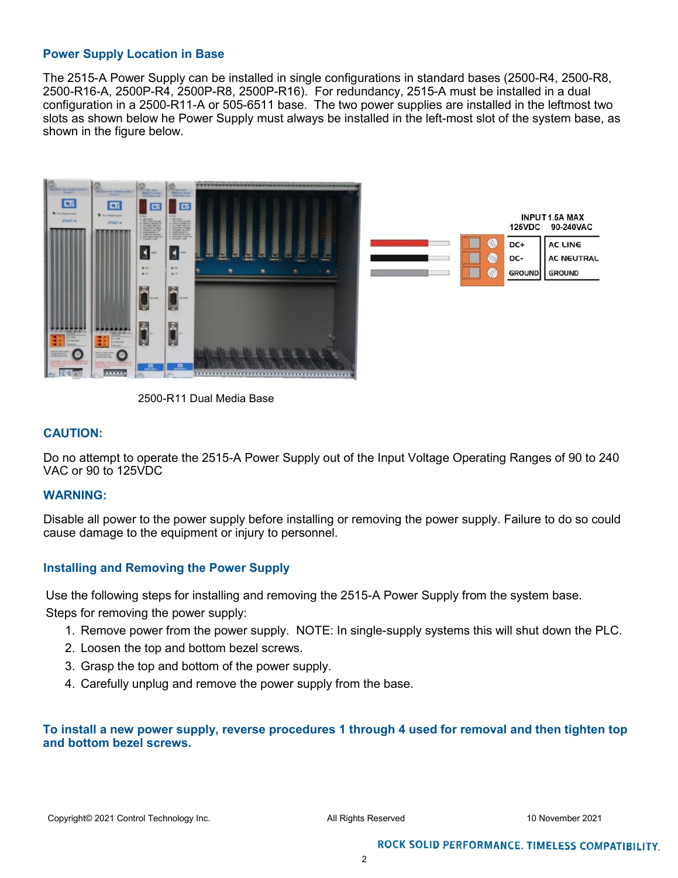#### **Power Supply Location in Base**

The 2515-A Power Supply can be installed in single configurations in standard bases (2500-R4, 2500-R8, 2500-R16-A, 2500P-R4, 2500P-R8, 2500P-R16). For redundancy, 2515-A must be installed in a dual configuration in a 2500-R11-A or 505-6511 base. The two power supplies are installed in the leftmost two slots as shown below he Power Supply must always be installed in the left-most slot of the system base, as shown in the figure below.



2500-R11 Dual Media Base

#### **CAUTION:**

Do no attempt to operate the 2515-A Power Supply out of the Input Voltage Operating Ranges of 90 to 240 VAC or 90 to 125VDC

#### **WARNING:**

Disable all power to the power supply before installing or removing the power supply. Failure to do so could cause damage to the equipment or injury to personnel.

### **Installing and Removing the Power Supply**

Use the following steps for installing and removing the 2515-A Power Supply from the system base.

Steps for removing the power supply:

- 1. Remove power from the power supply. NOTE: In single-supply systems this will shut down the PLC.
- 2. Loosen the top and bottom bezel screws.
- 3. Grasp the top and bottom of the power supply.
- 4. Carefully unplug and remove the power supply from the base.

### **To install a new power supply, reverse procedures 1 through 4 used for removal and then tighten top and bottom bezel screws.**